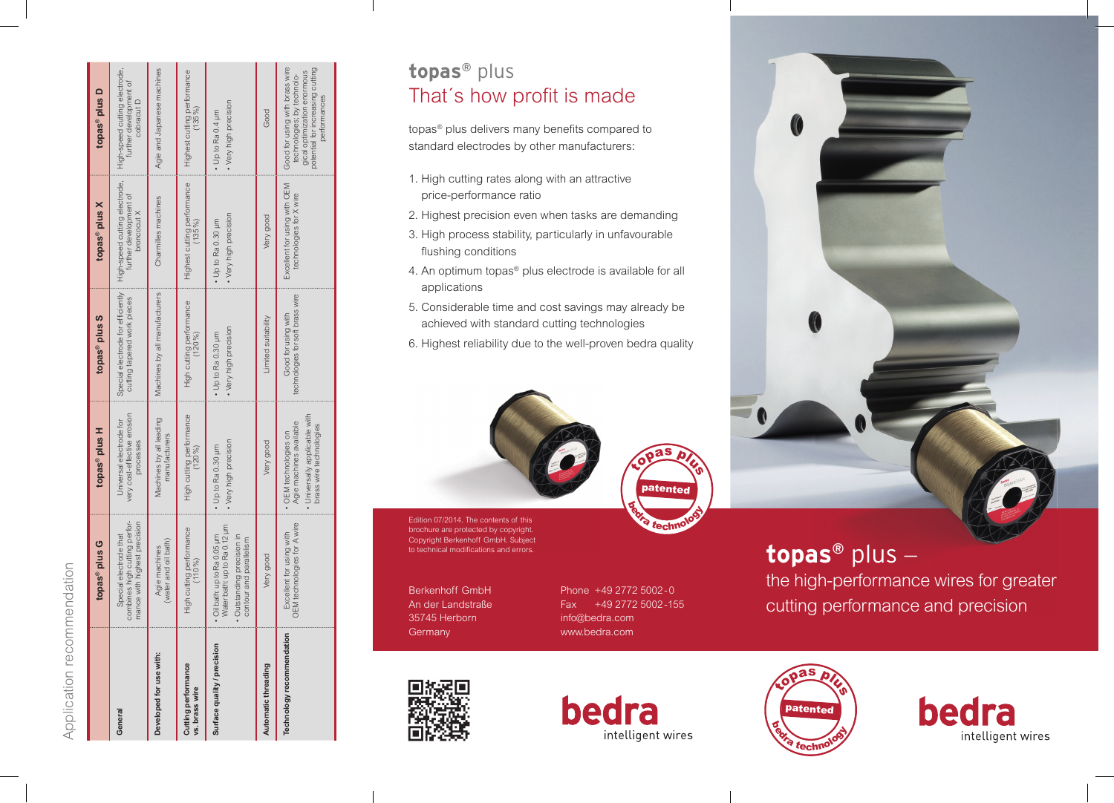|                                       | topas <sup>®</sup> plus G                                                                                           | topas <sup>®</sup> plus H                                                                                  | topas <sup>®</sup> plus S                                        | topas <sup>®</sup> plus X                                              | topas <sup>®</sup> plus D                                                                                                                       |
|---------------------------------------|---------------------------------------------------------------------------------------------------------------------|------------------------------------------------------------------------------------------------------------|------------------------------------------------------------------|------------------------------------------------------------------------|-------------------------------------------------------------------------------------------------------------------------------------------------|
| General                               | combines high cutting perfor-<br>mance with highest precision<br>Special electrode that                             | very cost-effective erosion<br>Universal electrode for<br>processes                                        | Special electrode for efficiently<br>cutting tapered work pieces | High-speed cutting electrode,<br>further development of<br>broncocut X | High-speed cutting electrode,<br>further development of<br>cobracut D                                                                           |
| Developed for use with:               | (water and oil bath)<br>Agie machines                                                                               | Machines by all leading<br>manufacturers                                                                   | Machines by all manufacturers                                    | Charmilles machines                                                    | Agie and Japanese machines                                                                                                                      |
| Cutting performance<br>vs. brass wire | High cutting performance<br>(110%)                                                                                  | High cutting performance<br>$(120\%)$                                                                      | High cutting performance<br>$(120\%)$                            | Highest cutting performance<br>$(135\%)$                               | Highest cutting performance<br>$(135\%$                                                                                                         |
| Surface quality / precision           | Water bath: up to Ra 0.12 um<br>Oil bath: up to Ra 0.05 um<br>· Outstanding precision in<br>contour and parallelism | • Very high precision<br>• Up to Ra 0.30 µm                                                                | • Very high precision<br>Up to Ra 0.30 um                        | • Very high precision<br>$-$ Up to Ra 0.30 $\mu$ m                     | • Very high precision<br>• Up to Ra 0.4 µm                                                                                                      |
| Automatic threading                   | Very good                                                                                                           | Very good                                                                                                  | Limited suitability                                              | Very good                                                              | Good                                                                                                                                            |
| Technology recommendation             | OEM technologies for A wire<br>Excellent for using with                                                             | · Universally applicable with<br>Agie machines available<br>brass wire technologies<br>OEM technologies on | technologies for soft brass wire<br>Good for using with          | Excellent for using with OEM<br>technologies for X wire                | Good for using with brass wire<br>potential for increasing cutting<br>gical optimization enormous<br>technologies; by technolo-<br>performances |

Application recommendation

Application recommendation

# **topas ®** plus That's how profit is made

topas<sup>®</sup> plus delivers many benefits compared to standard electrodes by other manufacturers:

- 1. High cutting rates along with an attractive price-performance ratio
- 2. Highest precision even when tasks are demanding
- 3. High process stability, particularly in unfavourable flushing conditions
- 4. An optimum topas ® plus electrode is available for all applications
- 5. Considerable time and cost savings may already be achieved with standard cutting technologies
- 6. Highest reliability due to the well-proven bedra quality



 Edition 07/2014. The contents of this brochure are protected by copyright. Copyright Berkenhoff GmbH. Subject to technical modifications and errors.

Berkenhoff GmbH An der Landstraße 35745 Herborn **Germany** 

Phone +49 2772 5002 - 0 Fax +49 2772 5002-155 info@bedra.com www.bedra.com

plus<br>a

techn

# **topas ®** plus –

the high-performance wires for greater cutting performance and precision